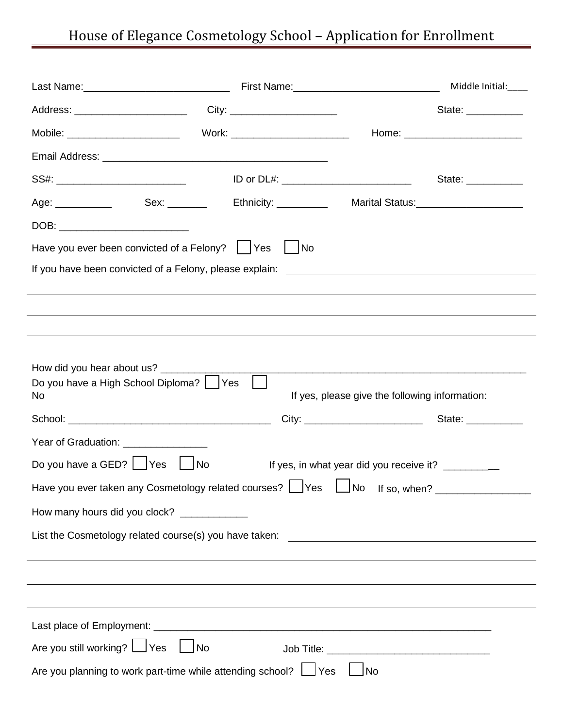## House of Elegance Cosmetology School – Application for Enrollment

|                                                                                                                |  |  |                                                                                                                                                                         | Middle Initial:____                   |  |
|----------------------------------------------------------------------------------------------------------------|--|--|-------------------------------------------------------------------------------------------------------------------------------------------------------------------------|---------------------------------------|--|
|                                                                                                                |  |  |                                                                                                                                                                         | State: ___________                    |  |
| Mobile: __________________________  Work: ________________________                                             |  |  |                                                                                                                                                                         |                                       |  |
|                                                                                                                |  |  |                                                                                                                                                                         |                                       |  |
|                                                                                                                |  |  | ID or DL#: _______________________________                                                                                                                              | State: __________                     |  |
| Age: ______________   Sex: ________  Ethnicity: __________                                                     |  |  |                                                                                                                                                                         | Marital Status:______________________ |  |
| DOB: ____________________________                                                                              |  |  |                                                                                                                                                                         |                                       |  |
| Have you ever been convicted of a Felony? $ $   Yes $ $ No                                                     |  |  |                                                                                                                                                                         |                                       |  |
|                                                                                                                |  |  |                                                                                                                                                                         |                                       |  |
|                                                                                                                |  |  |                                                                                                                                                                         |                                       |  |
|                                                                                                                |  |  |                                                                                                                                                                         |                                       |  |
|                                                                                                                |  |  |                                                                                                                                                                         |                                       |  |
| How did you hear about us? ________<br>Do you have a High School Diploma?   Yes<br>No                          |  |  | <u> 1989 - Johann Stoff, deutscher Stoff, der Stoff, der Stoff, der Stoff, der Stoff, der Stoff, der Stoff, der S</u><br>If yes, please give the following information: |                                       |  |
|                                                                                                                |  |  |                                                                                                                                                                         |                                       |  |
| Year of Graduation: _______________                                                                            |  |  |                                                                                                                                                                         |                                       |  |
| Do you have a GED? $\Box$ Yes $\Box$ No<br>If yes, in what year did you receive it? ___________                |  |  |                                                                                                                                                                         |                                       |  |
| Have you ever taken any Cosmetology related courses? Lexicoses Lexicose Interiors Motors 2011 Motors May Disco |  |  |                                                                                                                                                                         |                                       |  |
| How many hours did you clock? _____________                                                                    |  |  |                                                                                                                                                                         |                                       |  |
|                                                                                                                |  |  |                                                                                                                                                                         |                                       |  |
|                                                                                                                |  |  |                                                                                                                                                                         |                                       |  |
|                                                                                                                |  |  |                                                                                                                                                                         |                                       |  |
|                                                                                                                |  |  |                                                                                                                                                                         |                                       |  |
|                                                                                                                |  |  |                                                                                                                                                                         |                                       |  |
| Are you still working?   Yes  <br>∫No                                                                          |  |  |                                                                                                                                                                         |                                       |  |
| Are you planning to work part-time while attending school? If Yes<br>$\blacksquare$ No                         |  |  |                                                                                                                                                                         |                                       |  |